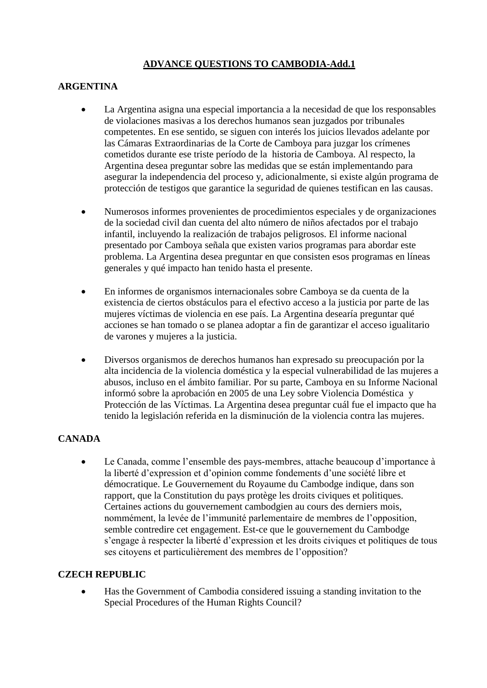# **ADVANCE QUESTIONS TO CAMBODIA-Add.1**

### **ARGENTINA**

- La Argentina asigna una especial importancia a la necesidad de que los responsables de violaciones masivas a los derechos humanos sean juzgados por tribunales competentes. En ese sentido, se siguen con interés los juicios llevados adelante por las Cámaras Extraordinarias de la Corte de Camboya para juzgar los crímenes cometidos durante ese triste período de la historia de Camboya. Al respecto, la Argentina desea preguntar sobre las medidas que se están implementando para asegurar la independencia del proceso y, adicionalmente, si existe algún programa de protección de testigos que garantice la seguridad de quienes testifican en las causas.
- Numerosos informes provenientes de procedimientos especiales y de organizaciones de la sociedad civil dan cuenta del alto número de niños afectados por el trabajo infantil, incluyendo la realización de trabajos peligrosos. El informe nacional presentado por Camboya señala que existen varios programas para abordar este problema. La Argentina desea preguntar en que consisten esos programas en líneas generales y qué impacto han tenido hasta el presente.
- En informes de organismos internacionales sobre Camboya se da cuenta de la existencia de ciertos obstáculos para el efectivo acceso a la justicia por parte de las mujeres víctimas de violencia en ese país. La Argentina desearía preguntar qué acciones se han tomado o se planea adoptar a fin de garantizar el acceso igualitario de varones y mujeres a la justicia.
- Diversos organismos de derechos humanos han expresado su preocupación por la alta incidencia de la violencia doméstica y la especial vulnerabilidad de las mujeres a abusos, incluso en el ámbito familiar. Por su parte, Camboya en su Informe Nacional informó sobre la aprobación en 2005 de una Ley sobre Violencia Doméstica y Protección de las Víctimas. La Argentina desea preguntar cuál fue el impacto que ha tenido la legislación referida en la disminución de la violencia contra las mujeres.

#### **CANADA**

 Le Canada, comme l'ensemble des pays-membres, attache beaucoup d'importance à la liberté d'expression et d'opinion comme fondements d'une société libre et démocratique. Le Gouvernement du Royaume du Cambodge indique, dans son rapport, que la Constitution du pays protège les droits civiques et politiques. Certaines actions du gouvernement cambodgien au cours des derniers mois, nommément, la levée de l'immunité parlementaire de membres de l'opposition, semble contredire cet engagement. Est-ce que le gouvernement du Cambodge s'engage à respecter la liberté d'expression et les droits civiques et politiques de tous ses citoyens et particulièrement des membres de l'opposition?

#### **CZECH REPUBLIC**

 Has the Government of Cambodia considered issuing a standing invitation to the Special Procedures of the Human Rights Council?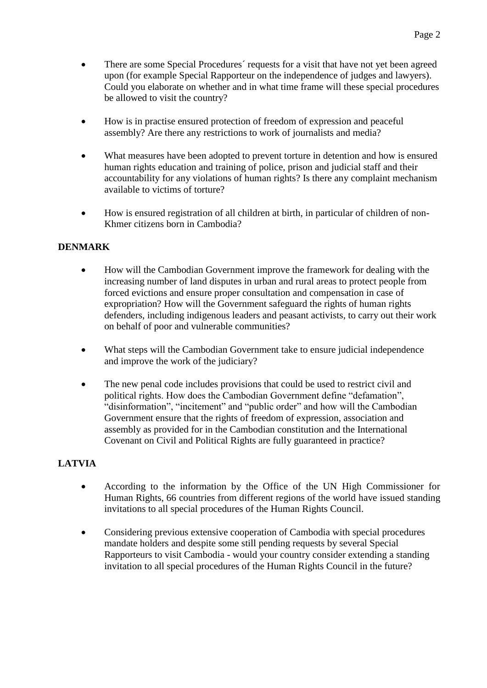- There are some Special Procedures´ requests for a visit that have not yet been agreed upon (for example Special Rapporteur on the independence of judges and lawyers). Could you elaborate on whether and in what time frame will these special procedures be allowed to visit the country?
- How is in practise ensured protection of freedom of expression and peaceful assembly? Are there any restrictions to work of journalists and media?
- What measures have been adopted to prevent torture in detention and how is ensured human rights education and training of police, prison and judicial staff and their accountability for any violations of human rights? Is there any complaint mechanism available to victims of torture?
- How is ensured registration of all children at birth, in particular of children of non-Khmer citizens born in Cambodia?

## **DENMARK**

- How will the Cambodian Government improve the framework for dealing with the increasing number of land disputes in urban and rural areas to protect people from forced evictions and ensure proper consultation and compensation in case of expropriation? How will the Government safeguard the rights of human rights defenders, including indigenous leaders and peasant activists, to carry out their work on behalf of poor and vulnerable communities?
- What steps will the Cambodian Government take to ensure judicial independence and improve the work of the judiciary?
- The new penal code includes provisions that could be used to restrict civil and political rights. How does the Cambodian Government define "defamation", "disinformation", "incitement" and "public order" and how will the Cambodian Government ensure that the rights of freedom of expression, association and assembly as provided for in the Cambodian constitution and the International Covenant on Civil and Political Rights are fully guaranteed in practice?

#### **LATVIA**

- According to the information by the Office of the UN High Commissioner for Human Rights, 66 countries from different regions of the world have issued standing invitations to all special procedures of the Human Rights Council.
- Considering previous extensive cooperation of Cambodia with special procedures mandate holders and despite some still pending requests by several Special Rapporteurs to visit Cambodia - would your country consider extending a standing invitation to all special procedures of the Human Rights Council in the future?